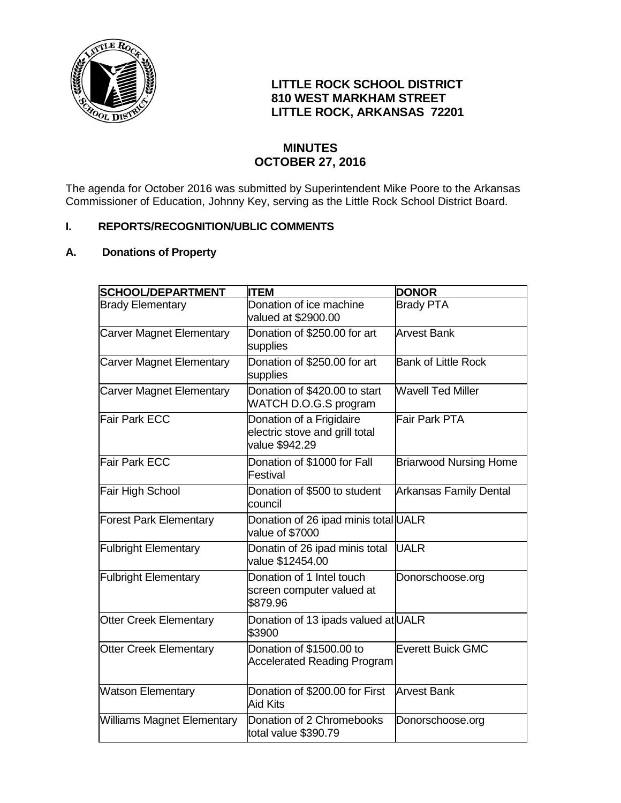

# **LITTLE ROCK SCHOOL DISTRICT 810 WEST MARKHAM STREET LITTLE ROCK, ARKANSAS 72201**

# **MINUTES OCTOBER 27, 2016**

The agenda for October 2016 was submitted by Superintendent Mike Poore to the Arkansas Commissioner of Education, Johnny Key, serving as the Little Rock School District Board.

## **I. REPORTS/RECOGNITION/UBLIC COMMENTS**

## **A. Donations of Property**

| <b>SCHOOL/DEPARTMENT</b>          | <b>ITEM</b>                                                                  | <b>DONOR</b>                  |
|-----------------------------------|------------------------------------------------------------------------------|-------------------------------|
| <b>Brady Elementary</b>           | Donation of ice machine<br>valued at \$2900.00                               | <b>Brady PTA</b>              |
| <b>Carver Magnet Elementary</b>   | Donation of \$250.00 for art<br>supplies                                     | <b>Arvest Bank</b>            |
| <b>Carver Magnet Elementary</b>   | Donation of \$250.00 for art<br>supplies                                     | <b>Bank of Little Rock</b>    |
| <b>Carver Magnet Elementary</b>   | Donation of \$420.00 to start<br>WATCH D.O.G.S program                       | <b>Wavell Ted Miller</b>      |
| Fair Park ECC                     | Donation of a Frigidaire<br>electric stove and grill total<br>value \$942.29 | Fair Park PTA                 |
| Fair Park ECC                     | Donation of \$1000 for Fall<br>Festival                                      | <b>Briarwood Nursing Home</b> |
| Fair High School                  | Donation of \$500 to student<br>council                                      | <b>Arkansas Family Dental</b> |
| <b>Forest Park Elementary</b>     | Donation of 26 ipad minis total UALR<br>value of \$7000                      |                               |
| <b>Fulbright Elementary</b>       | Donatin of 26 ipad minis total<br>value \$12454.00                           | <b>UALR</b>                   |
| <b>Fulbright Elementary</b>       | Donation of 1 Intel touch<br>screen computer valued at<br>\$879.96           | Donorschoose.org              |
| <b>Otter Creek Elementary</b>     | Donation of 13 ipads valued at UALR<br>\$3900                                |                               |
| <b>Otter Creek Elementary</b>     | Donation of \$1500.00 to<br><b>Accelerated Reading Program</b>               | <b>Everett Buick GMC</b>      |
| <b>Watson Elementary</b>          | Donation of \$200.00 for First<br><b>Aid Kits</b>                            | <b>Arvest Bank</b>            |
| <b>Williams Magnet Elementary</b> | Donation of 2 Chromebooks<br>total value \$390.79                            | Donorschoose.org              |